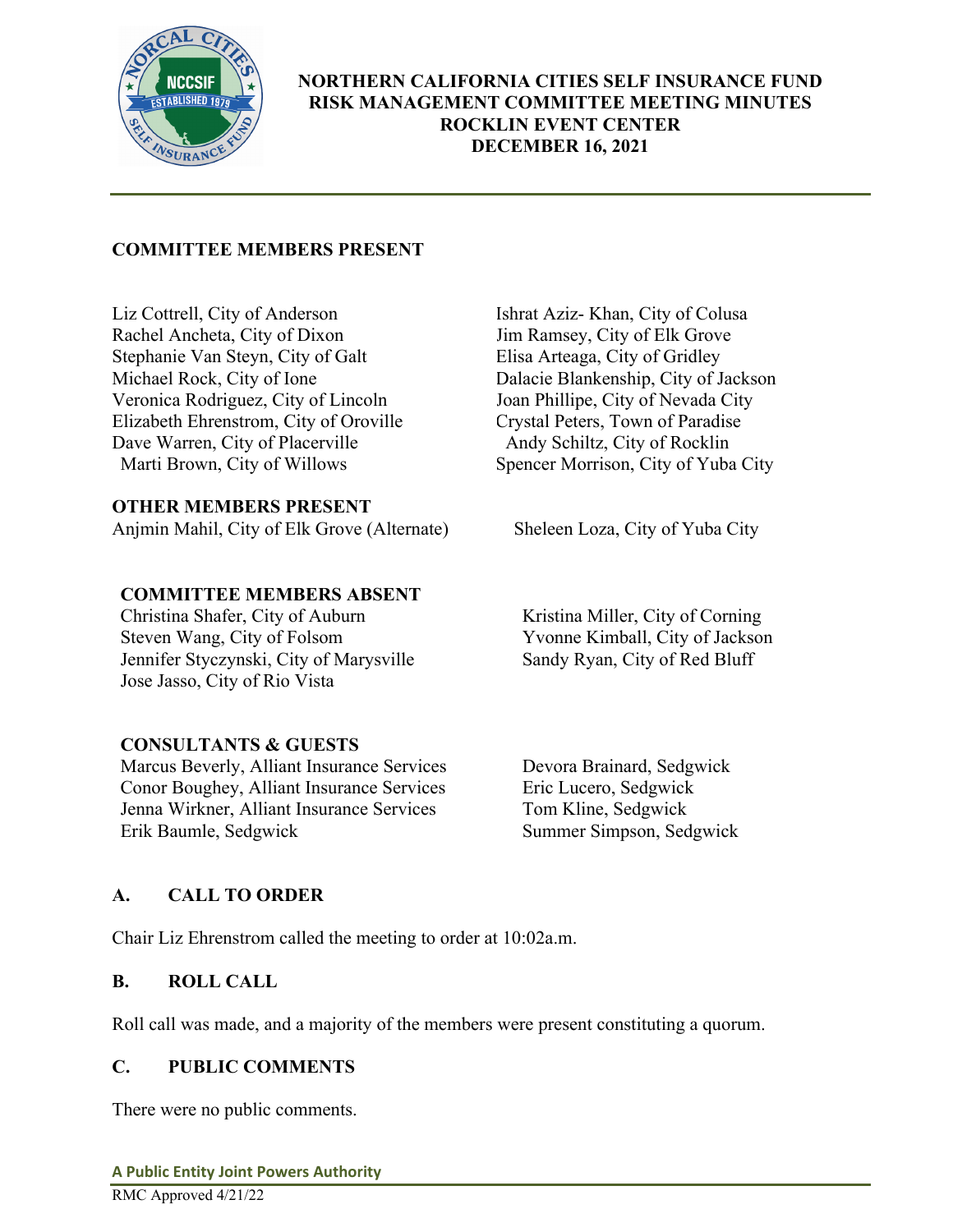

# **COMMITTEE MEMBERS PRESENT**

Liz Cottrell, City of Anderson Ishrat Aziz- Khan, City of Colusa Rachel Ancheta, City of Dixon<br>
Stephanie Van Steyn, City of Galt<br>
Elisa Arteaga, City of Gridley Stephanie Van Steyn, City of Galt<br>Michael Rock, City of Ione Veronica Rodriguez, City of Lincoln<br>
Elizabeth Ehrenstrom, City of Oroville<br>
Crystal Peters, Town of Paradise Elizabeth Ehrenstrom, City of Oroville Dave Warren, City of Placerville Andy Schiltz, City of Rocklin<br>Marti Brown, City of Willows Spencer Morrison, City of Yuba

## **OTHER MEMBERS PRESENT**

Anjmin Mahil, City of Elk Grove (Alternate) Sheleen Loza, City of Yuba City

## **COMMITTEE MEMBERS ABSENT**

Christina Shafer, City of Auburn Kristina Miller, City of Corning<br>Steven Wang, City of Folsom Yvonne Kimball, City of Jackso Jennifer Styczynski, City of Marysville Sandy Ryan, City of Red Bluff Jose Jasso, City of Rio Vista

# **CONSULTANTS & GUESTS**

Marcus Beverly, Alliant Insurance Services Devora Brainard, Sedgwick Conor Boughey, Alliant Insurance Services Eric Lucero, Sedgwick Jenna Wirkner, Alliant Insurance Services Tom Kline, Sedgwick

Dalacie Blankenship, City of Jackson<br>Joan Phillipe, City of Nevada City Spencer Morrison, City of Yuba City

Yvonne Kimball, City of Jackson

Summer Simpson, Sedgwick

# **A. CALL TO ORDER**

Chair Liz Ehrenstrom called the meeting to order at 10:02a.m.

## **B. ROLL CALL**

Roll call was made, and a majority of the members were present constituting a quorum.

# **C. PUBLIC COMMENTS**

There were no public comments.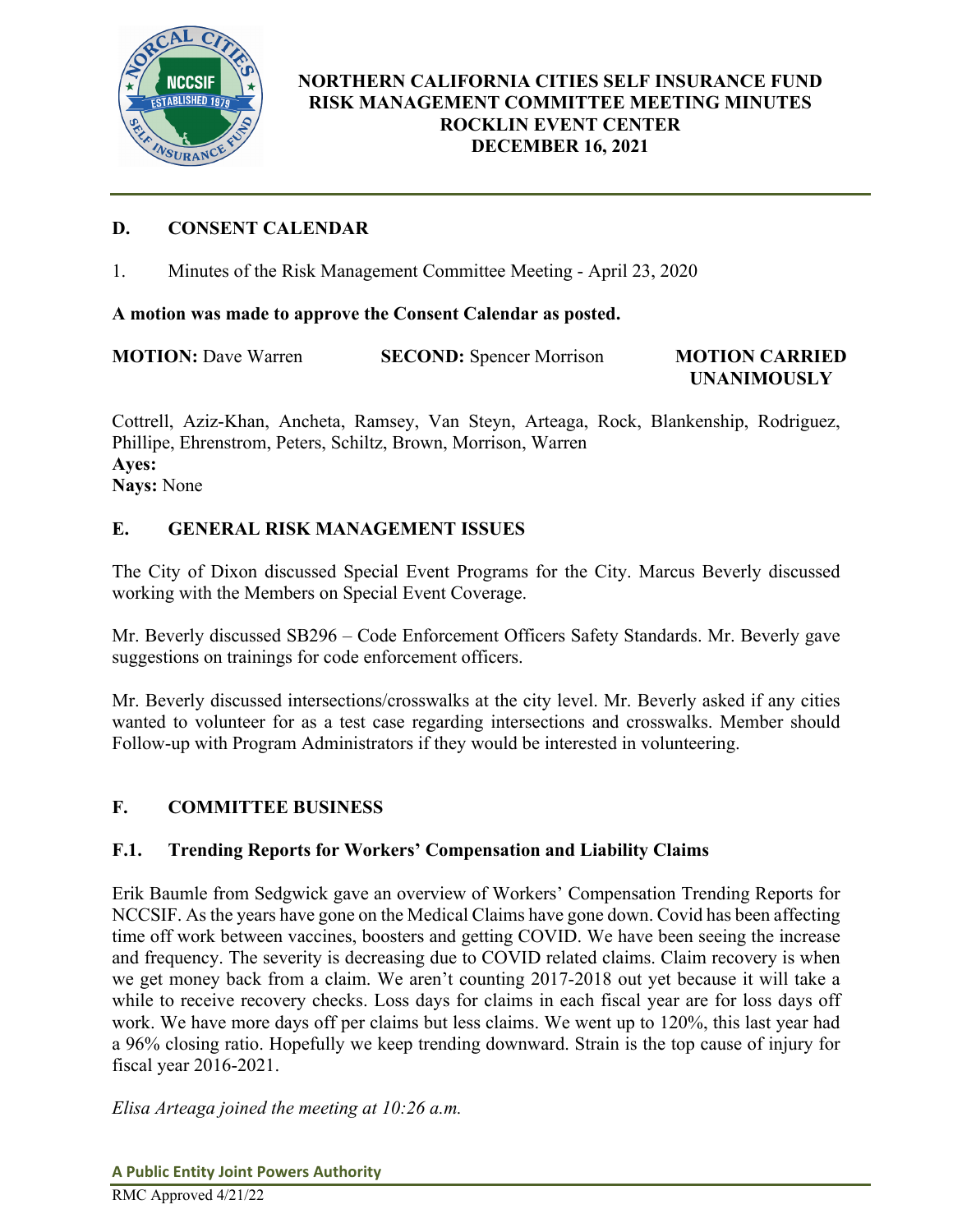

**UNANIMOUSLY** 

# **D. CONSENT CALENDAR**

1. Minutes of the Risk Management Committee Meeting - April 23, 2020

## **A motion was made to approve the Consent Calendar as posted.**

**MOTION:** Dave Warren **SECOND:** Spencer Morrison **MOTION CARRIED** 

Cottrell, Aziz-Khan, Ancheta, Ramsey, Van Steyn, Arteaga, Rock, Blankenship, Rodriguez, Phillipe, Ehrenstrom, Peters, Schiltz, Brown, Morrison, Warren **Ayes: Nays:** None

## **E. GENERAL RISK MANAGEMENT ISSUES**

The City of Dixon discussed Special Event Programs for the City. Marcus Beverly discussed working with the Members on Special Event Coverage.

Mr. Beverly discussed SB296 – Code Enforcement Officers Safety Standards. Mr. Beverly gave suggestions on trainings for code enforcement officers.

Mr. Beverly discussed intersections/crosswalks at the city level. Mr. Beverly asked if any cities wanted to volunteer for as a test case regarding intersections and crosswalks. Member should Follow-up with Program Administrators if they would be interested in volunteering.

## **F. COMMITTEE BUSINESS**

## **F.1. Trending Reports for Workers' Compensation and Liability Claims**

Erik Baumle from Sedgwick gave an overview of Workers' Compensation Trending Reports for NCCSIF. As the years have gone on the Medical Claims have gone down. Covid has been affecting time off work between vaccines, boosters and getting COVID. We have been seeing the increase and frequency. The severity is decreasing due to COVID related claims. Claim recovery is when we get money back from a claim. We aren't counting 2017-2018 out yet because it will take a while to receive recovery checks. Loss days for claims in each fiscal year are for loss days off work. We have more days off per claims but less claims. We went up to 120%, this last year had a 96% closing ratio. Hopefully we keep trending downward. Strain is the top cause of injury for fiscal year 2016-2021.

*Elisa Arteaga joined the meeting at 10:26 a.m.*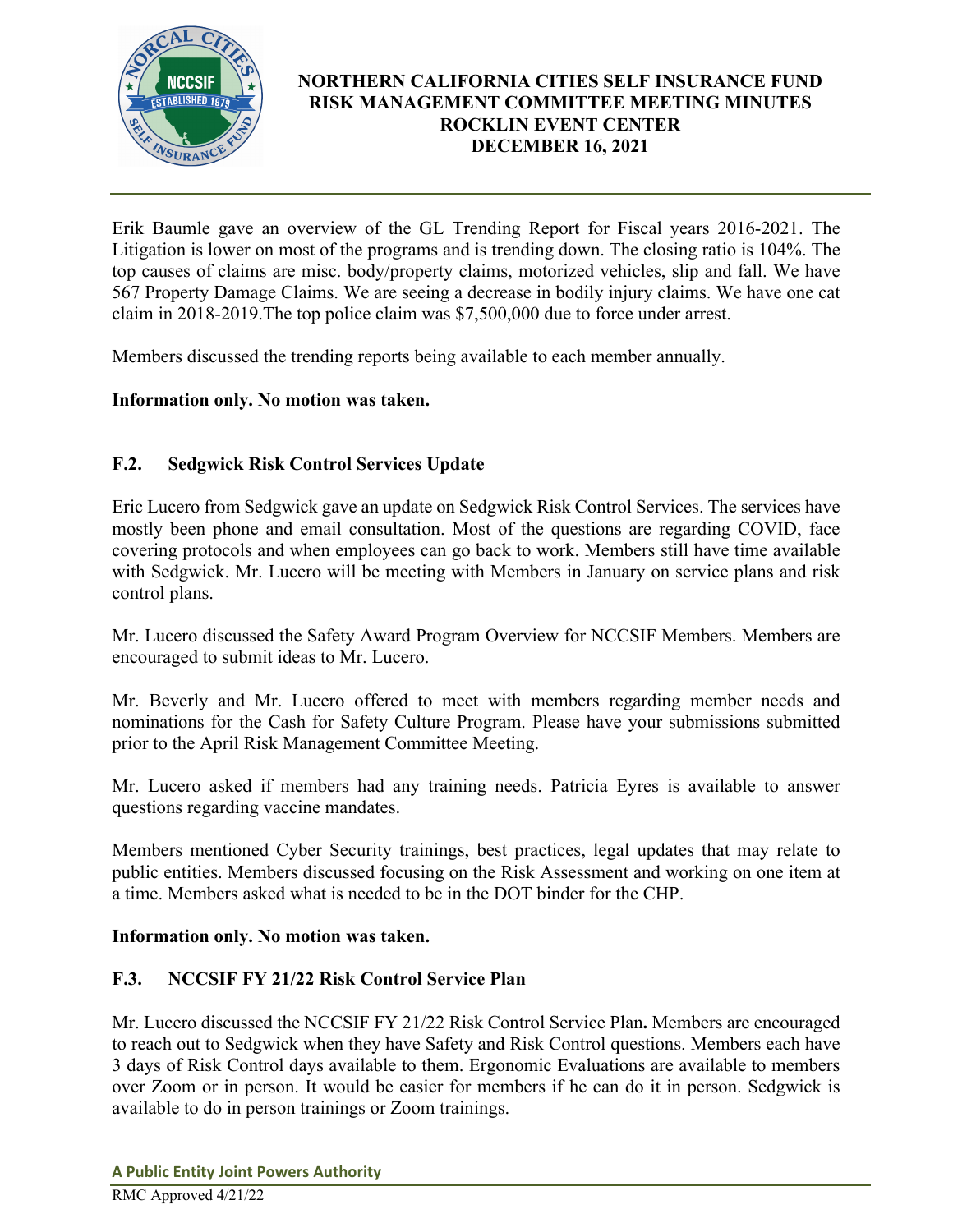

Erik Baumle gave an overview of the GL Trending Report for Fiscal years 2016-2021. The Litigation is lower on most of the programs and is trending down. The closing ratio is 104%. The top causes of claims are misc. body/property claims, motorized vehicles, slip and fall. We have 567 Property Damage Claims. We are seeing a decrease in bodily injury claims. We have one cat claim in 2018-2019.The top police claim was \$7,500,000 due to force under arrest.

Members discussed the trending reports being available to each member annually.

## **Information only. No motion was taken.**

# **F.2. Sedgwick Risk Control Services Update**

Eric Lucero from Sedgwick gave an update on Sedgwick Risk Control Services. The services have mostly been phone and email consultation. Most of the questions are regarding COVID, face covering protocols and when employees can go back to work. Members still have time available with Sedgwick. Mr. Lucero will be meeting with Members in January on service plans and risk control plans.

Mr. Lucero discussed the Safety Award Program Overview for NCCSIF Members. Members are encouraged to submit ideas to Mr. Lucero.

Mr. Beverly and Mr. Lucero offered to meet with members regarding member needs and nominations for the Cash for Safety Culture Program. Please have your submissions submitted prior to the April Risk Management Committee Meeting.

Mr. Lucero asked if members had any training needs. Patricia Eyres is available to answer questions regarding vaccine mandates.

Members mentioned Cyber Security trainings, best practices, legal updates that may relate to public entities. Members discussed focusing on the Risk Assessment and working on one item at a time. Members asked what is needed to be in the DOT binder for the CHP.

## **Information only. No motion was taken.**

## **F.3. NCCSIF FY 21/22 Risk Control Service Plan**

Mr. Lucero discussed the NCCSIF FY 21/22 Risk Control Service Plan**.** Members are encouraged to reach out to Sedgwick when they have Safety and Risk Control questions. Members each have 3 days of Risk Control days available to them. Ergonomic Evaluations are available to members over Zoom or in person. It would be easier for members if he can do it in person. Sedgwick is available to do in person trainings or Zoom trainings.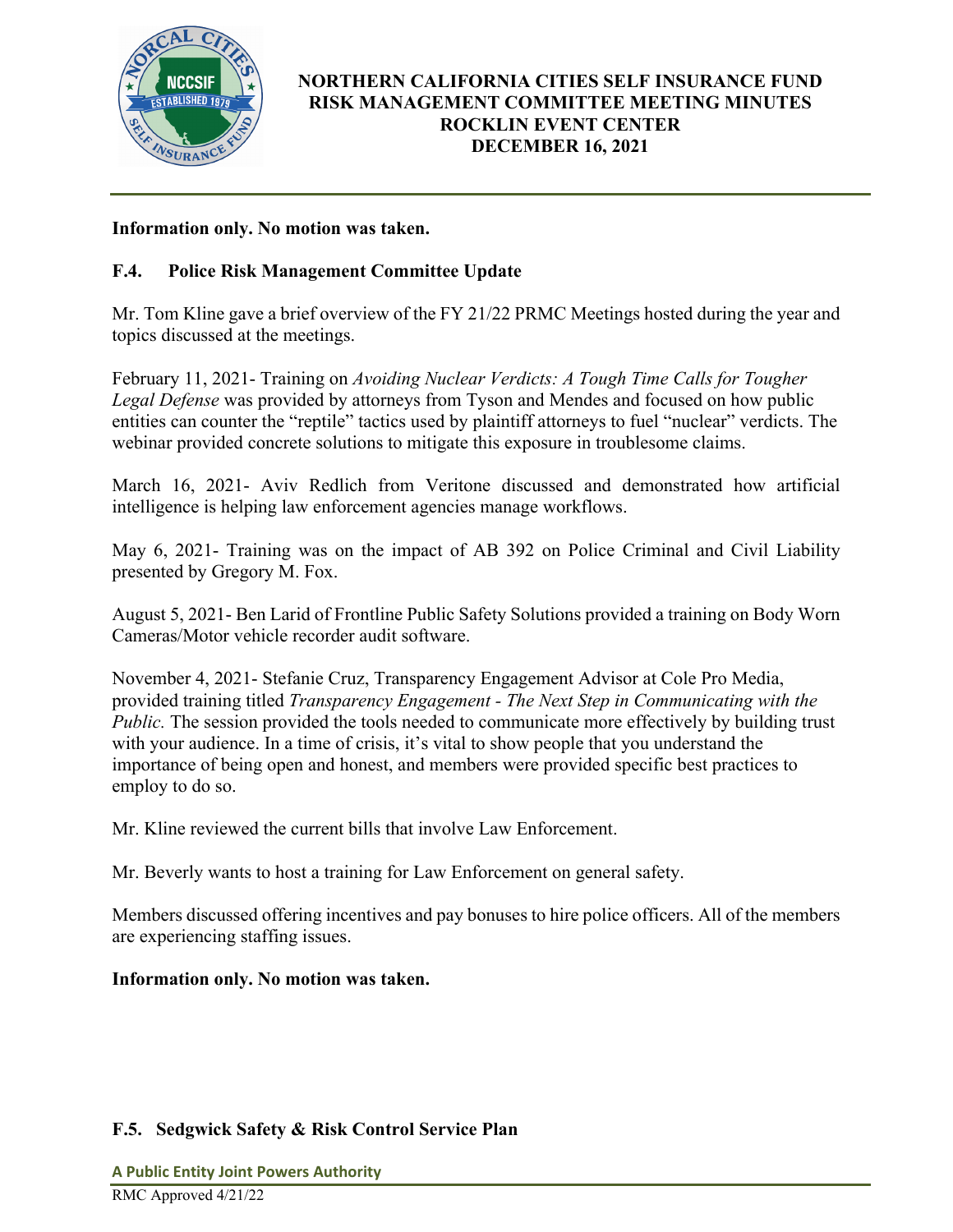

## **Information only. No motion was taken.**

## **F.4. Police Risk Management Committee Update**

Mr. Tom Kline gave a brief overview of the FY 21/22 PRMC Meetings hosted during the year and topics discussed at the meetings.

February 11, 2021- Training on *Avoiding Nuclear Verdicts: A Tough Time Calls for Tougher Legal Defense* was provided by attorneys from Tyson and Mendes and focused on how public entities can counter the "reptile" tactics used by plaintiff attorneys to fuel "nuclear" verdicts. The webinar provided concrete solutions to mitigate this exposure in troublesome claims.

March 16, 2021- Aviv Redlich from Veritone discussed and demonstrated how artificial intelligence is helping law enforcement agencies manage workflows.

May 6, 2021- Training was on the impact of AB 392 on Police Criminal and Civil Liability presented by Gregory M. Fox.

August 5, 2021- Ben Larid of Frontline Public Safety Solutions provided a training on Body Worn Cameras/Motor vehicle recorder audit software.

November 4, 2021- Stefanie Cruz, Transparency Engagement Advisor at Cole Pro Media, provided training titled *Transparency Engagement - The Next Step in Communicating with the Public.* The session provided the tools needed to communicate more effectively by building trust with your audience. In a time of crisis, it's vital to show people that you understand the importance of being open and honest, and members were provided specific best practices to employ to do so.

Mr. Kline reviewed the current bills that involve Law Enforcement.

Mr. Beverly wants to host a training for Law Enforcement on general safety.

Members discussed offering incentives and pay bonuses to hire police officers. All of the members are experiencing staffing issues.

## **Information only. No motion was taken.**

## **F.5. Sedgwick Safety & Risk Control Service Plan**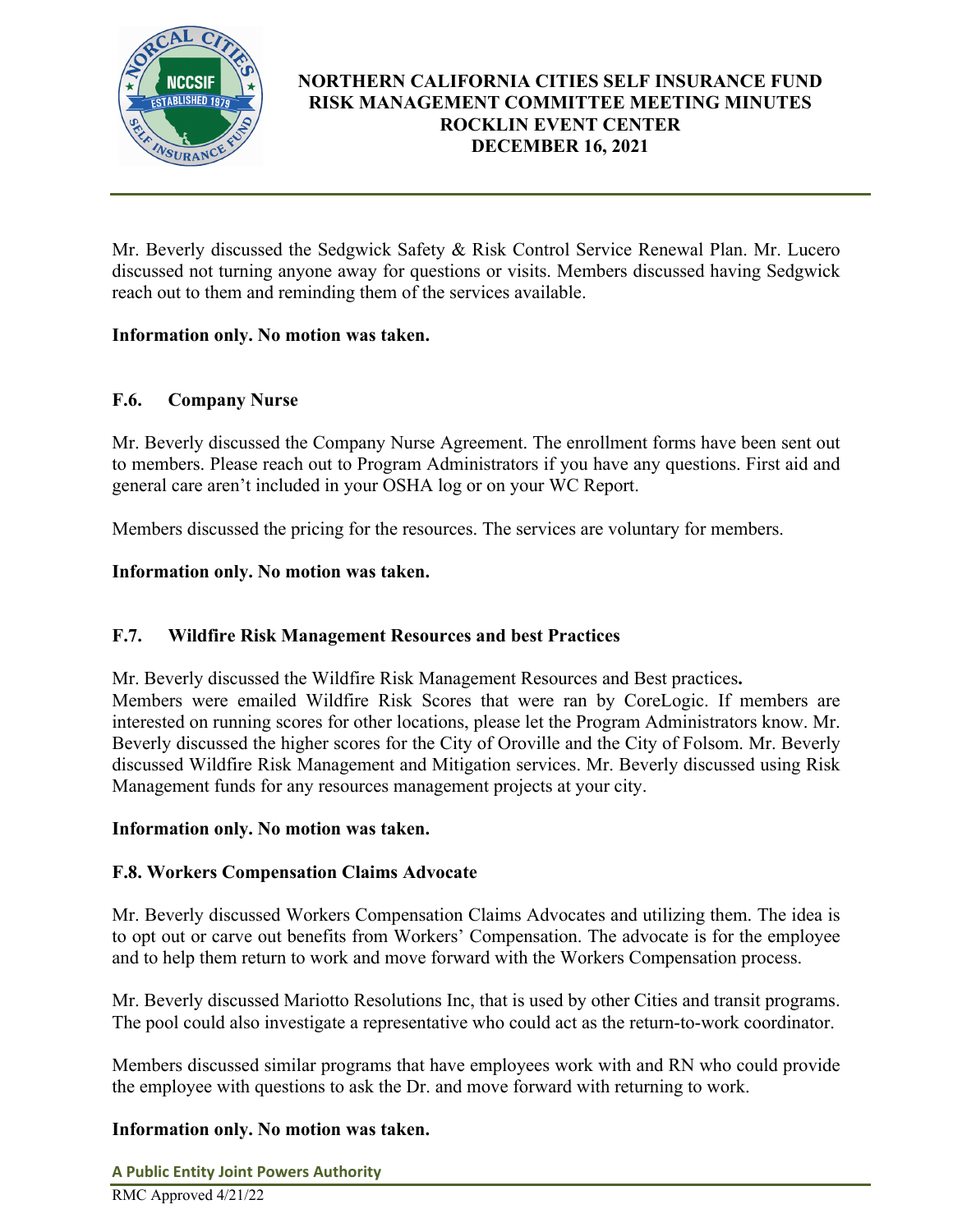

Mr. Beverly discussed the Sedgwick Safety & Risk Control Service Renewal Plan. Mr. Lucero discussed not turning anyone away for questions or visits. Members discussed having Sedgwick reach out to them and reminding them of the services available.

## **Information only. No motion was taken.**

## **F.6. Company Nurse**

Mr. Beverly discussed the Company Nurse Agreement. The enrollment forms have been sent out to members. Please reach out to Program Administrators if you have any questions. First aid and general care aren't included in your OSHA log or on your WC Report.

Members discussed the pricing for the resources. The services are voluntary for members.

## **Information only. No motion was taken.**

# **F.7. Wildfire Risk Management Resources and best Practices**

Mr. Beverly discussed the Wildfire Risk Management Resources and Best practices**.**  Members were emailed Wildfire Risk Scores that were ran by CoreLogic. If members are interested on running scores for other locations, please let the Program Administrators know. Mr. Beverly discussed the higher scores for the City of Oroville and the City of Folsom. Mr. Beverly discussed Wildfire Risk Management and Mitigation services. Mr. Beverly discussed using Risk Management funds for any resources management projects at your city.

## **Information only. No motion was taken.**

# **F.8. Workers Compensation Claims Advocate**

Mr. Beverly discussed Workers Compensation Claims Advocates and utilizing them. The idea is to opt out or carve out benefits from Workers' Compensation. The advocate is for the employee and to help them return to work and move forward with the Workers Compensation process.

Mr. Beverly discussed Mariotto Resolutions Inc, that is used by other Cities and transit programs. The pool could also investigate a representative who could act as the return-to-work coordinator.

Members discussed similar programs that have employees work with and RN who could provide the employee with questions to ask the Dr. and move forward with returning to work.

# **Information only. No motion was taken.**